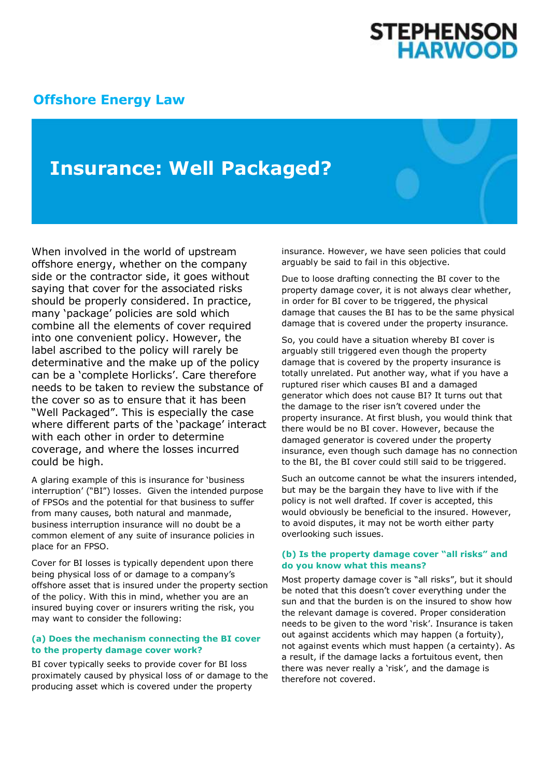# **STEPHENSON<br>HARWOOD**

### **[Offshore Energy Law](http://www.offshoreenergylaw.com/)**

## **Insurance: Well Packaged?**

When involved in the world of upstream offshore energy, whether on the company side or the contractor side, it goes without saying that cover for the associated risks should be properly considered. In practice, many 'package' policies are sold which combine all the elements of cover required into one convenient policy. However, the label ascribed to the policy will rarely be determinative and the make up of the policy can be a 'complete Horlicks'. Care therefore needs to be taken to review the substance of the cover so as to ensure that it has been "Well Packaged". This is especially the case where different parts of the 'package' interact with each other in order to determine coverage, and where the losses incurred could be high.

A glaring example of this is insurance for 'business interruption' ("BI") losses. Given the intended purpose of FPSOs and the potential for that business to suffer from many causes, both natural and manmade, business interruption insurance will no doubt be a common element of any suite of insurance policies in place for an FPSO.

Cover for BI losses is typically dependent upon there being physical loss of or damage to a company's offshore asset that is insured under the property section of the policy. With this in mind, whether you are an insured buying cover or insurers writing the risk, you may want to consider the following:

#### **(a) Does the mechanism connecting the BI cover to the property damage cover work?**

BI cover typically seeks to provide cover for BI loss proximately caused by physical loss of or damage to the producing asset which is covered under the property

insurance. However, we have seen policies that could arguably be said to fail in this objective.

Due to loose drafting connecting the BI cover to the property damage cover, it is not always clear whether, in order for BI cover to be triggered, the physical damage that causes the BI has to be the same physical damage that is covered under the property insurance.

So, you could have a situation whereby BI cover is arguably still triggered even though the property damage that is covered by the property insurance is totally unrelated. Put another way, what if you have a ruptured riser which causes BI and a damaged generator which does not cause BI? It turns out that the damage to the riser isn't covered under the property insurance. At first blush, you would think that there would be no BI cover. However, because the damaged generator is covered under the property insurance, even though such damage has no connection to the BI, the BI cover could still said to be triggered.

Such an outcome cannot be what the insurers intended, but may be the bargain they have to live with if the policy is not well drafted. If cover is accepted, this would obviously be beneficial to the insured. However, to avoid disputes, it may not be worth either party overlooking such issues.

#### **(b) Is the property damage cover "all risks" and do you know what this means?**

Most property damage cover is "all risks", but it should be noted that this doesn't cover everything under the sun and that the burden is on the insured to show how the relevant damage is covered. Proper consideration needs to be given to the word 'risk'. Insurance is taken out against accidents which may happen (a fortuity), not against events which must happen (a certainty). As a result, if the damage lacks a fortuitous event, then there was never really a 'risk', and the damage is therefore not covered.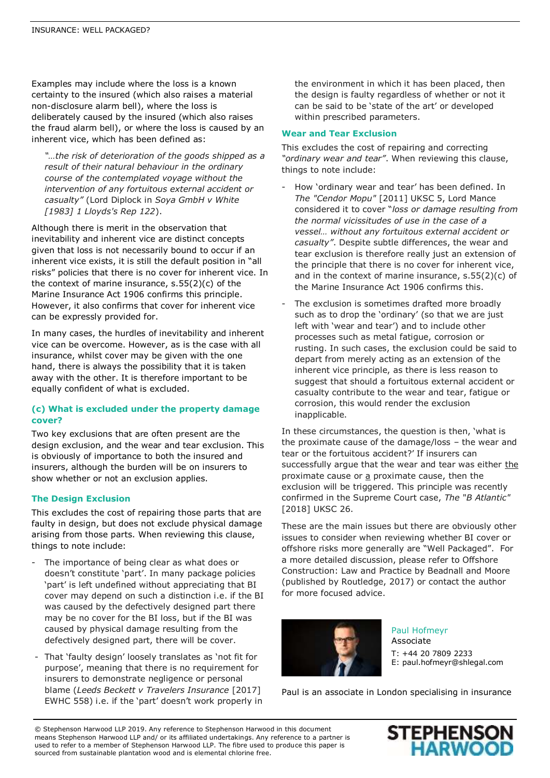Examples may include where the loss is a known certainty to the insured (which also raises a material non-disclosure alarm bell), where the loss is deliberately caused by the insured (which also raises the fraud alarm bell), or where the loss is caused by an inherent vice, which has been defined as:

*"…the risk of deterioration of the goods shipped as a result of their natural behaviour in the ordinary course of the contemplated voyage without the intervention of any fortuitous external accident or casualty"* (Lord Diplock in *Soya GmbH v White [1983] 1 Lloyds's Rep 122*).

Although there is merit in the observation that inevitability and inherent vice are distinct concepts given that loss is not necessarily bound to occur if an inherent vice exists, it is still the default position in "all risks" policies that there is no cover for inherent vice. In the context of marine insurance, s.55(2)(c) of the Marine Insurance Act 1906 confirms this principle. However, it also confirms that cover for inherent vice can be expressly provided for.

In many cases, the hurdles of inevitability and inherent vice can be overcome. However, as is the case with all insurance, whilst cover may be given with the one hand, there is always the possibility that it is taken away with the other. It is therefore important to be equally confident of what is excluded.

#### **(c) What is excluded under the property damage cover?**

Two key exclusions that are often present are the design exclusion, and the wear and tear exclusion. This is obviously of importance to both the insured and insurers, although the burden will be on insurers to show whether or not an exclusion applies.

#### **The Design Exclusion**

This excludes the cost of repairing those parts that are faulty in design, but does not exclude physical damage arising from those parts. When reviewing this clause, things to note include:

- The importance of being clear as what does or doesn't constitute 'part'. In many package policies 'part' is left undefined without appreciating that BI cover may depend on such a distinction i.e. if the BI was caused by the defectively designed part there may be no cover for the BI loss, but if the BI was caused by physical damage resulting from the defectively designed part, there will be cover.
- That 'faulty design' loosely translates as 'not fit for purpose', meaning that there is no requirement for insurers to demonstrate negligence or personal blame (*Leeds Beckett v Travelers Insurance* [2017] EWHC 558) i.e. if the 'part' doesn't work properly in

the environment in which it has been placed, then the design is faulty regardless of whether or not it can be said to be 'state of the art' or developed within prescribed parameters.

#### **Wear and Tear Exclusion**

This excludes the cost of repairing and correcting *"ordinary wear and tear"*. When reviewing this clause, things to note include:

- How 'ordinary wear and tear' has been defined. In *The "Cendor Mopu"* [2011] UKSC 5, Lord Mance considered it to cover "*loss or damage resulting from the normal vicissitudes of use in the case of a vessel… without any fortuitous external accident or casualty"*. Despite subtle differences, the wear and tear exclusion is therefore really just an extension of the principle that there is no cover for inherent vice, and in the context of marine insurance, s.55(2)(c) of the Marine Insurance Act 1906 confirms this.
- The exclusion is sometimes drafted more broadly such as to drop the 'ordinary' (so that we are just left with 'wear and tear') and to include other processes such as metal fatigue, corrosion or rusting. In such cases, the exclusion could be said to depart from merely acting as an extension of the inherent vice principle, as there is less reason to suggest that should a fortuitous external accident or casualty contribute to the wear and tear, fatigue or corrosion, this would render the exclusion inapplicable.

In these circumstances, the question is then, 'what is the proximate cause of the damage/loss – the wear and tear or the fortuitous accident?' If insurers can successfully argue that the wear and tear was either the proximate cause or a proximate cause, then the exclusion will be triggered. This principle was recently confirmed in the Supreme Court case, *The* "*B Atlantic"*  [2018] UKSC 26.

These are the main issues but there are obviously other issues to consider when reviewing whether BI cover or offshore risks more generally are "Well Packaged". For a more detailed discussion, please refer to Offshore Construction: Law and Practice by Beadnall and Moore (published by Routledge, 2017) or contact the author for more focused advice.



Paul Hofmeyr Associate T: +44 20 7809 2233 E: paul.hofmeyr@shlegal.com

Paul is an associate in London specialising in insurance